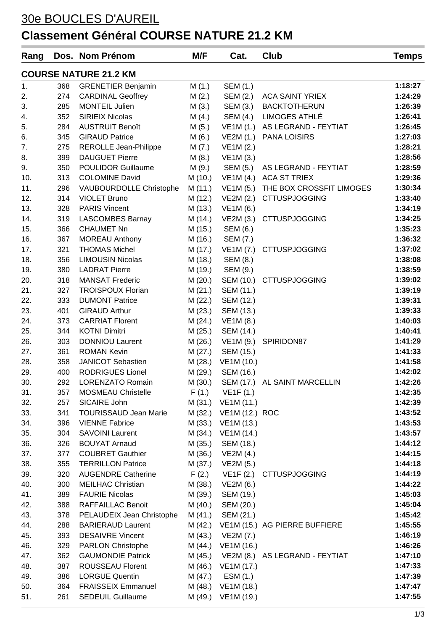## 30e BOUCLES D'AUREIL

## **Classement Général COURSE NATURE 21.2 KM**

| Rang                         |     | Dos. Nom Prénom                             | M/F     | Cat.                   | Club                                   | <b>Temps</b> |  |  |
|------------------------------|-----|---------------------------------------------|---------|------------------------|----------------------------------------|--------------|--|--|
| <b>COURSE NATURE 21.2 KM</b> |     |                                             |         |                        |                                        |              |  |  |
| 1.                           | 368 | <b>GRENETIER Benjamin</b>                   | M(1.)   | SEM (1.)               |                                        | 1:18:27      |  |  |
| 2.                           | 274 | <b>CARDINAL Geoffrey</b>                    | M(2.)   | SEM (2.)               | <b>ACA SAINT YRIEX</b>                 | 1:24:29      |  |  |
| 3.                           | 285 | <b>MONTEIL Julien</b>                       | M(3.)   | SEM (3.)               | <b>BACKTOTHERUN</b>                    | 1:26:39      |  |  |
| 4.                           | 352 | <b>SIRIEIX Nicolas</b>                      | M(4.)   | SEM (4.)               | LIMOGES ATHLÉ                          | 1:26:41      |  |  |
| 5.                           | 284 | <b>AUSTRUIT Benoît</b>                      | M(5.)   |                        | VE1M (1.) AS LEGRAND - FEYTIAT         | 1:26:45      |  |  |
| 6.                           | 345 | <b>GIRAUD Patrice</b>                       | M(6.)   |                        | VE2M (1.) PANA LOISIRS                 | 1:27:03      |  |  |
| 7.                           | 275 | <b>REROLLE Jean-Philippe</b>                | M(7.)   | VE1M (2.)              |                                        | 1:28:21      |  |  |
| 8.                           | 399 | <b>DAUGUET Pierre</b>                       | M(8.)   | VE1M (3.)              |                                        | 1:28:56      |  |  |
| 9.                           | 350 | <b>POULIDOR Guillaume</b>                   | M(9.)   | SEM (5.)               | AS LEGRAND - FEYTIAT                   | 1:28:59      |  |  |
| 10.                          | 313 | <b>COLOMINE David</b>                       | M (10.) |                        | VE1M (4.) ACA ST TRIEX                 | 1:29:36      |  |  |
| 11.                          | 296 | VAUBOURDOLLE Christophe                     | M (11.) | VE1M (5.)              | THE BOX CROSSFIT LIMOGES               | 1:30:34      |  |  |
| 12.                          | 314 | <b>VIOLET Bruno</b>                         | M (12.) | VE2M (2.)              | <b>CTTUSPJOGGING</b>                   | 1:33:40      |  |  |
| 13.                          | 328 | <b>PARIS Vincent</b>                        | M (13.) | VE1M(6.)               |                                        | 1:34:19      |  |  |
| 14.                          | 319 | <b>LASCOMBES Barnay</b>                     | M (14.) | VE2M (3.)              | <b>CTTUSPJOGGING</b>                   | 1:34:25      |  |  |
| 15.                          | 366 | <b>CHAUMET Nn</b>                           | M (15.) | SEM (6.)               |                                        | 1:35:23      |  |  |
| 16.                          | 367 | <b>MOREAU Anthony</b>                       | M (16.) | SEM (7.)               |                                        | 1:36:32      |  |  |
| 17.                          | 321 | <b>THOMAS Michel</b>                        | M (17.) | VE1M (7.)              | <b>CTTUSPJOGGING</b>                   | 1:37:02      |  |  |
| 18.                          | 356 | <b>LIMOUSIN Nicolas</b>                     | M (18.) | SEM (8.)               |                                        | 1:38:08      |  |  |
| 19.                          | 380 | <b>LADRAT Pierre</b>                        | M (19.) | SEM (9.)               |                                        | 1:38:59      |  |  |
| 20.                          | 318 | <b>MANSAT Frederic</b>                      | M (20.) | SEM (10.)              | <b>CTTUSPJOGGING</b>                   | 1:39:02      |  |  |
| 21.                          | 327 | <b>TROISPOUX Florian</b>                    | M (21.) | SEM (11.)              |                                        | 1:39:19      |  |  |
| 22.                          | 333 | <b>DUMONT Patrice</b>                       | M(22.)  | SEM (12.)              |                                        | 1:39:31      |  |  |
| 23.                          | 401 | <b>GIRAUD Arthur</b>                        | M(23.)  | SEM (13.)              |                                        | 1:39:33      |  |  |
| 24.                          | 373 | <b>CARRIAT Florent</b>                      | M(24.)  | VE1M (8.)              |                                        | 1:40:03      |  |  |
| 25.                          | 344 | <b>KOTNI Dimitri</b>                        | M (25.) | SEM (14.)              |                                        | 1:40:41      |  |  |
| 26.                          | 303 | <b>DONNIOU Laurent</b>                      | M (26.) | VE1M (9.)              | SPIRIDON87                             | 1:41:29      |  |  |
| 27.                          | 361 | <b>ROMAN Kevin</b>                          | M (27.) | SEM (15.)              |                                        | 1:41:33      |  |  |
| 28.                          | 358 | <b>JANICOT Sebastien</b>                    | M (28.) | VE1M (10.)             |                                        | 1:41:58      |  |  |
| 29.                          | 400 | <b>RODRIGUES Lionel</b>                     | M (29.) | SEM (16.)              |                                        | 1:42:02      |  |  |
| 30.                          | 292 | LORENZATO Romain                            |         |                        | M (30.) SEM (17.) AL SAINT MARCELLIN   | 1:42:26      |  |  |
| 31.                          | 357 | <b>MOSMEAU Christelle</b>                   |         | $F(1.)$ VE1F(1.)       |                                        | 1:42:35      |  |  |
| 32.                          | 257 | SICAIRE John                                |         | M (31.) VE1M (11.)     |                                        | 1:42:39      |  |  |
| 33.                          | 341 | <b>TOURISSAUD Jean Marie</b>                |         | M (32.) VE1M (12.) ROC |                                        | 1:43:52      |  |  |
| 34.                          | 396 | <b>VIENNE Fabrice</b>                       |         | M (33.) VE1M (13.)     |                                        | 1:43:53      |  |  |
| 35.                          | 304 | <b>SAVOINI Laurent</b>                      |         | M (34.) VE1M (14.)     |                                        | 1:43:57      |  |  |
| 36.                          | 326 | <b>BOUYAT Arnaud</b>                        |         | M (35.) SEM (18.)      |                                        | 1:44:12      |  |  |
| 37.                          | 377 | <b>COUBRET Gauthier</b>                     |         | M (36.) VE2M (4.)      |                                        | 1:44:15      |  |  |
| 38.                          | 355 | <b>TERRILLON Patrice</b>                    |         | M (37.) VE2M (5.)      |                                        | 1:44:18      |  |  |
| 39.                          | 320 | <b>AUGENDRE Catherine</b>                   |         |                        | $F(2.)$ VE1F $(2.)$ CTTUSPJOGGING      | 1:44:19      |  |  |
| 40.                          | 300 | <b>MEILHAC Christian</b>                    |         | M (38.) VE2M (6.)      |                                        | 1:44:22      |  |  |
| 41.                          | 389 | <b>FAURIE Nicolas</b>                       | M (39.) | SEM (19.)              |                                        | 1:45:03      |  |  |
| 42.                          | 388 | RAFFAILLAC Benoit                           | M (40.) | SEM (20.)              |                                        | 1:45:04      |  |  |
| 43.                          | 378 | PELAUDEIX Jean Christophe M (41.) SEM (21.) |         |                        |                                        | 1:45:42      |  |  |
| 44.                          | 288 | <b>BARIERAUD Laurent</b>                    |         |                        | M (42.) VE1M (15.) AG PIERRE BUFFIERE  | 1:45:55      |  |  |
| 45.                          | 393 | <b>DESAIVRE Vincent</b>                     |         | M (43.) VE2M (7.)      |                                        | 1:46:19      |  |  |
| 46.                          | 329 | <b>PARLON Christophe</b>                    |         | M (44.) VE1M (16.)     |                                        | 1:46:26      |  |  |
| 47.                          | 362 | <b>GAUMONDIE Patrick</b>                    |         |                        | M (45.) VE2M (8.) AS LEGRAND - FEYTIAT | 1:47:10      |  |  |
| 48.                          | 387 | ROUSSEAU Florent                            |         | M (46.) VE1M (17.)     |                                        | 1:47:33      |  |  |
| 49.                          | 386 | <b>LORGUE Quentin</b>                       |         | M (47.) ESM (1.)       |                                        | 1:47:39      |  |  |
| 50.                          | 364 | <b>FRAISSEIX Emmanuel</b>                   |         | M (48.) VE1M (18.)     |                                        | 1:47:47      |  |  |
| 51.                          | 261 | <b>SEDEUIL Guillaume</b>                    |         | M (49.) VE1M (19.)     |                                        | 1:47:55      |  |  |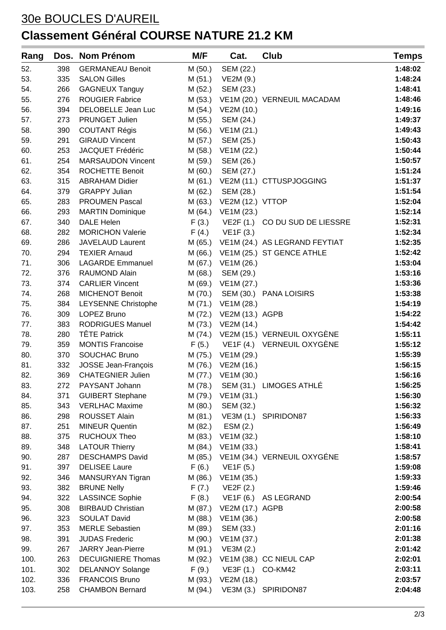## 30e BOUCLES D'AUREIL **Classement Général COURSE NATURE 21.2 KM**

| Rang |     | Dos. Nom Prénom            | M/F     | Cat.                    | Club                                  | <b>Temps</b> |
|------|-----|----------------------------|---------|-------------------------|---------------------------------------|--------------|
| 52.  | 398 | <b>GERMANEAU Benoit</b>    | M(50.)  | SEM (22.)               |                                       | 1:48:02      |
| 53.  | 335 | <b>SALON Gilles</b>        | M (51.) | VE2M (9.)               |                                       | 1:48:24      |
| 54.  | 266 | <b>GAGNEUX Tanguy</b>      | M (52.) | SEM (23.)               |                                       | 1:48:41      |
| 55.  | 276 | <b>ROUGIER Fabrice</b>     | M (53.) |                         | VE1M (20.) VERNEUIL MACADAM           | 1:48:46      |
| 56.  | 394 | DELOBELLE Jean Luc         | M (54.) | VE2M (10.)              |                                       | 1:49:16      |
| 57.  | 273 | PRUNGET Julien             | M (55.) | SEM (24.)               |                                       | 1:49:37      |
| 58.  | 390 | <b>COUTANT Régis</b>       | M (56.) | VE1M (21.)              |                                       | 1:49:43      |
| 59.  | 291 | <b>GIRAUD Vincent</b>      | M (57.) | SEM (25.)               |                                       | 1:50:43      |
| 60.  | 253 | JACQUET Frédéric           | M (58.) | VE1M (22.)              |                                       | 1:50:44      |
| 61.  | 254 | <b>MARSAUDON Vincent</b>   | M (59.) | SEM (26.)               |                                       | 1:50:57      |
| 62.  | 354 | <b>ROCHETTE Benoit</b>     | M (60.) | SEM (27.)               |                                       | 1:51:24      |
| 63.  | 315 | <b>ABRAHAM Didier</b>      | M (61.) |                         | VE2M (11.) CTTUSPJOGGING              | 1:51:37      |
| 64.  | 379 | <b>GRAPPY Julian</b>       | M (62.) | SEM (28.)               |                                       | 1:51:54      |
| 65.  | 283 | <b>PROUMEN Pascal</b>      | M (63.) | VE2M (12.) VTTOP        |                                       | 1:52:04      |
| 66.  | 293 | <b>MARTIN Dominique</b>    | M (64.) | VE1M (23.)              |                                       | 1:52:14      |
| 67.  | 340 | <b>DALE Helen</b>          | F(3.)   |                         | VE2F (1.) CO DU SUD DE LIESSRE        | 1:52:31      |
| 68.  | 282 | <b>MORICHON Valerie</b>    | F(4.)   | VE1F(3.)                |                                       | 1:52:34      |
| 69.  | 286 | JAVELAUD Laurent           |         |                         | M (65.) VE1M (24.) AS LEGRAND FEYTIAT | 1:52:35      |
| 70.  | 294 | <b>TEXIER Arnaud</b>       |         |                         | M (66.) VE1M (25.) ST GENCE ATHLE     | 1:52:42      |
| 71.  | 306 | <b>LAGARDE Emmanuel</b>    | M (67.) | VE1M (26.)              |                                       | 1:53:04      |
| 72.  | 376 | <b>RAUMOND Alain</b>       | M(68.)  | SEM (29.)               |                                       | 1:53:16      |
| 73.  | 374 | <b>CARLIER Vincent</b>     | M (69.) | VE1M (27.)              |                                       | 1:53:36      |
| 74.  | 268 | <b>MICHENOT Benoit</b>     | M (70.) |                         | SEM (30.) PANA LOISIRS                | 1:53:38      |
| 75.  | 384 | <b>LEYSENNE Christophe</b> | M (71.) | VE1M (28.)              |                                       | 1:54:19      |
| 76.  | 309 | LOPEZ Bruno                |         | M (72.) VE2M (13.) AGPB |                                       | 1:54:22      |
| 77.  | 383 | RODRIGUES Manuel           |         | M (73.) VE2M (14.)      |                                       | 1:54:42      |
| 78.  | 280 | <b>TÊTE Patrick</b>        |         |                         | M (74.) VE2M (15.) VERNEUIL OXYGÈNE   | 1:55:11      |
| 79.  | 359 | <b>MONTIS Francoise</b>    | F(5.)   |                         | VE1F (4.) VERNEUIL OXYGÈNE            | 1:55:12      |
| 80.  | 370 | <b>SOUCHAC Bruno</b>       | M (75.) | VE1M (29.)              |                                       | 1:55:39      |
| 81.  | 332 | JOSSE Jean-François        | M (76.) | VE2M (16.)              |                                       | 1:56:15      |
| 82.  | 369 | <b>CHATEGNIER Julien</b>   | M (77.) | VE1M (30.)              |                                       | 1:56:16      |
| 83.  | 272 | PAYSANT Johann             | M (78.) |                         | SEM (31.) LIMOGES ATHLÉ               | 1:56:25      |
| 84.  | 371 | <b>GUIBERT Stephane</b>    | M (79.) | VE1M (31.)              |                                       | 1:56:30      |
| 85.  | 343 | <b>VERLHAC Maxime</b>      | M (80.) | SEM (32.)               |                                       | 1:56:32      |
| 86.  | 298 | ROUSSET Alain              | M (81.) |                         | VE3M (1.) SPIRIDON87                  | 1:56:33      |
| 87.  | 251 | <b>MINEUR Quentin</b>      | M (82.) | ESM(2.)                 |                                       | 1:56:49      |
| 88.  | 375 | <b>RUCHOUX Theo</b>        | M (83.) | VE1M (32.)              |                                       | 1:58:10      |
| 89.  | 348 | <b>LATOUR Thierry</b>      | M (84.) | VE1M (33.)              |                                       | 1:58:41      |
| 90.  | 287 | <b>DESCHAMPS David</b>     | M (85.) |                         | VE1M (34.) VERNEUIL OXYGÉNE           | 1:58:57      |
| 91.  | 397 | <b>DELISEE Laure</b>       | F(6.)   | VE1F(5.)                |                                       | 1:59:08      |
| 92.  | 346 | MANSURYAN Tigran           | M (86.) | VE1M (35.)              |                                       | 1:59:33      |
| 93.  | 382 | <b>BRUNE Nelly</b>         | F(7.)   | VE2F(2.)                |                                       | 1:59:46      |
| 94.  | 322 | <b>LASSINCE Sophie</b>     |         |                         | $F(8.)$ VE1F $(6.)$ AS LEGRAND        | 2:00:54      |
| 95.  | 308 | <b>BIRBAUD Christian</b>   | M (87.) | VE2M (17.) AGPB         |                                       | 2:00:58      |
| 96.  | 323 | <b>SOULAT David</b>        | M (88.) | VE1M (36.)              |                                       | 2:00:58      |
| 97.  | 353 | <b>MERLE Sebastien</b>     | M (89.) | SEM (33.)               |                                       | 2:01:16      |
| 98.  | 391 | <b>JUDAS Frederic</b>      | M (90.) | VE1M (37.)              |                                       | 2:01:38      |
| 99.  | 267 | <b>JARRY Jean-Pierre</b>   | M (91.) | VE3M(2.)                |                                       | 2:01:42      |
| 100. | 263 | <b>DECUIGNIERE Thomas</b>  | M (92.) |                         | VE1M (38.) CC NIEUL CAP               | 2:02:01      |
| 101. | 302 | <b>DELANNOY Solange</b>    | F(9.)   | VE3F (1.)               | CO-KM42                               | 2:03:11      |
| 102. | 336 | <b>FRANCOIS Bruno</b>      | M (93.) | VE2M (18.)              |                                       | 2:03:57      |
| 103. | 258 | <b>CHAMBON Bernard</b>     | M (94.) |                         | VE3M (3.) SPIRIDON87                  | 2:04:48      |